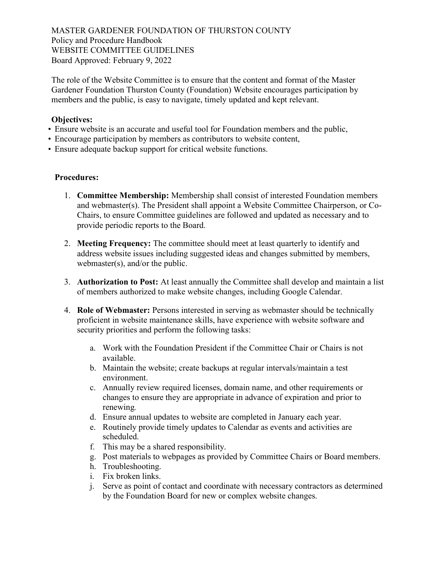MASTER GARDENER FOUNDATION OF THURSTON COUNTY Policy and Procedure Handbook WEBSITE COMMITTEE GUIDELINES Board Approved: February 9, 2022

The role of the Website Committee is to ensure that the content and format of the Master Gardener Foundation Thurston County (Foundation) Website encourages participation by members and the public, is easy to navigate, timely updated and kept relevant.

#### Objectives:

- Ensure website is an accurate and useful tool for Foundation members and the public,
- Encourage participation by members as contributors to website content,
- Ensure adequate backup support for critical website functions.

### Procedures:

- 1. Committee Membership: Membership shall consist of interested Foundation members and webmaster(s). The President shall appoint a Website Committee Chairperson, or Co-Chairs, to ensure Committee guidelines are followed and updated as necessary and to provide periodic reports to the Board.
- 2. Meeting Frequency: The committee should meet at least quarterly to identify and address website issues including suggested ideas and changes submitted by members, webmaster(s), and/or the public.
- 3. Authorization to Post: At least annually the Committee shall develop and maintain a list of members authorized to make website changes, including Google Calendar.
- 4. Role of Webmaster: Persons interested in serving as webmaster should be technically proficient in website maintenance skills, have experience with website software and security priorities and perform the following tasks:
	- a. Work with the Foundation President if the Committee Chair or Chairs is not available.
	- b. Maintain the website; create backups at regular intervals/maintain a test environment.
	- c. Annually review required licenses, domain name, and other requirements or changes to ensure they are appropriate in advance of expiration and prior to renewing.
	- d. Ensure annual updates to website are completed in January each year.
	- e. Routinely provide timely updates to Calendar as events and activities are scheduled.
	- f. This may be a shared responsibility.
	- g. Post materials to webpages as provided by Committee Chairs or Board members.
	- h. Troubleshooting.
	- i. Fix broken links.
	- j. Serve as point of contact and coordinate with necessary contractors as determined by the Foundation Board for new or complex website changes.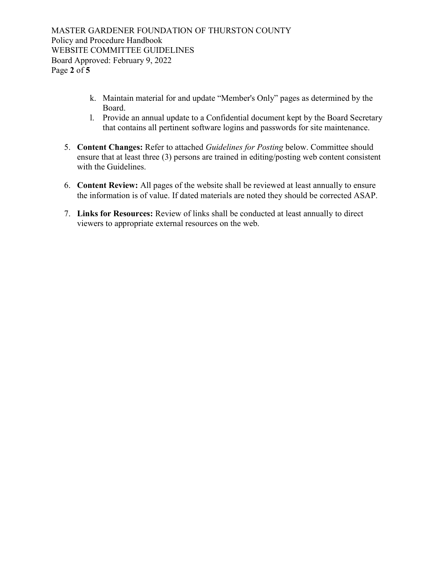MASTER GARDENER FOUNDATION OF THURSTON COUNTY Policy and Procedure Handbook WEBSITE COMMITTEE GUIDELINES Board Approved: February 9, 2022 Page 2 of 5

- k. Maintain material for and update "Member's Only" pages as determined by the Board.
- l. Provide an annual update to a Confidential document kept by the Board Secretary that contains all pertinent software logins and passwords for site maintenance.
- 5. Content Changes: Refer to attached Guidelines for Posting below. Committee should ensure that at least three (3) persons are trained in editing/posting web content consistent with the Guidelines.
- 6. Content Review: All pages of the website shall be reviewed at least annually to ensure the information is of value. If dated materials are noted they should be corrected ASAP.
- 7. Links for Resources: Review of links shall be conducted at least annually to direct viewers to appropriate external resources on the web.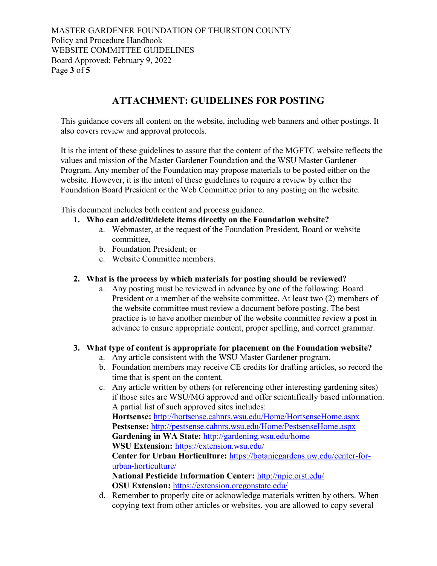MASTER GARDENER FOUNDATION OF THURSTON COUNTY Policy and Procedure Handbook WEBSITE COMMITTEE GUIDELINES Board Approved: February 9, 2022 Page 3 of 5

# ATTACHMENT: GUIDELINES FOR POSTING

This guidance covers all content on the website, including web banners and other postings. It also covers review and approval protocols.

It is the intent of these guidelines to assure that the content of the MGFTC website reflects the values and mission of the Master Gardener Foundation and the WSU Master Gardener Program. Any member of the Foundation may propose materials to be posted either on the website. However, it is the intent of these guidelines to require a review by either the Foundation Board President or the Web Committee prior to any posting on the website.

This document includes both content and process guidance.

### 1. Who can add/edit/delete items directly on the Foundation website?

- a. Webmaster, at the request of the Foundation President, Board or website committee,
- b. Foundation President; or
- c. Website Committee members.

## 2. What is the process by which materials for posting should be reviewed?

a. Any posting must be reviewed in advance by one of the following: Board President or a member of the website committee. At least two (2) members of the website committee must review a document before posting. The best practice is to have another member of the website committee review a post in advance to ensure appropriate content, proper spelling, and correct grammar.

# 3. What type of content is appropriate for placement on the Foundation website?

- a. Any article consistent with the WSU Master Gardener program.
- b. Foundation members may receive CE credits for drafting articles, so record the time that is spent on the content.
- c. Any article written by others (or referencing other interesting gardening sites) if those sites are WSU/MG approved and offer scientifically based information. A partial list of such approved sites includes: Hortsense: http://hortsense.cahnrs.wsu.edu/Home/HortsenseHome.aspx Pestsense: http://pestsense.cahnrs.wsu.edu/Home/PestsenseHome.aspx Gardening in WA State: http://gardening.wsu.edu/home WSU Extension: https://extension.wsu.edu/

Center for Urban Horticulture: https://botanicgardens.uw.edu/center-forurban-horticulture/

National Pesticide Information Center: http://npic.orst.edu/ OSU Extension: https://extension.oregonstate.edu/

d. Remember to properly cite or acknowledge materials written by others. When copying text from other articles or websites, you are allowed to copy several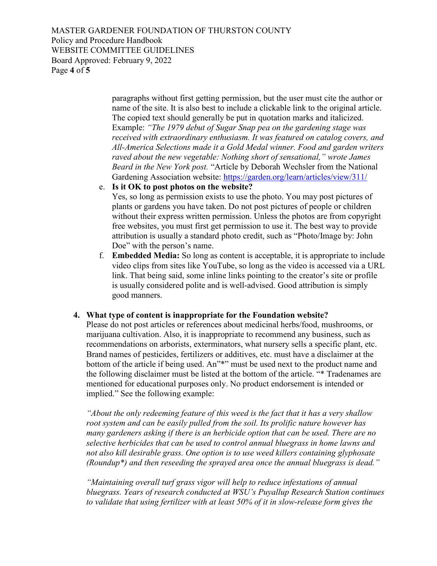MASTER GARDENER FOUNDATION OF THURSTON COUNTY Policy and Procedure Handbook WEBSITE COMMITTEE GUIDELINES Board Approved: February 9, 2022 Page 4 of 5

> paragraphs without first getting permission, but the user must cite the author or name of the site. It is also best to include a clickable link to the original article. The copied text should generally be put in quotation marks and italicized. Example: "The 1979 debut of Sugar Snap pea on the gardening stage was received with extraordinary enthusiasm. It was featured on catalog covers, and All-America Selections made it a Gold Medal winner. Food and garden writers raved about the new vegetable: Nothing short of sensational," wrote James Beard in the New York post. "Article by Deborah Wechsler from the National Gardening Association website: https://garden.org/learn/articles/view/311/

e. Is it OK to post photos on the website?

Yes, so long as permission exists to use the photo. You may post pictures of plants or gardens you have taken. Do not post pictures of people or children without their express written permission. Unless the photos are from copyright free websites, you must first get permission to use it. The best way to provide attribution is usually a standard photo credit, such as "Photo/Image by: John Doe" with the person's name.

f. Embedded Media: So long as content is acceptable, it is appropriate to include video clips from sites like YouTube, so long as the video is accessed via a URL link. That being said, some inline links pointing to the creator's site or profile is usually considered polite and is well-advised. Good attribution is simply good manners.

#### 4. What type of content is inappropriate for the Foundation website?

Please do not post articles or references about medicinal herbs/food, mushrooms, or marijuana cultivation. Also, it is inappropriate to recommend any business, such as recommendations on arborists, exterminators, what nursery sells a specific plant, etc. Brand names of pesticides, fertilizers or additives, etc. must have a disclaimer at the bottom of the article if being used. An"\*" must be used next to the product name and the following disclaimer must be listed at the bottom of the article. "\* Tradenames are mentioned for educational purposes only. No product endorsement is intended or implied." See the following example:

"About the only redeeming feature of this weed is the fact that it has a very shallow root system and can be easily pulled from the soil. Its prolific nature however has many gardeners asking if there is an herbicide option that can be used. There are no selective herbicides that can be used to control annual bluegrass in home lawns and not also kill desirable grass. One option is to use weed killers containing glyphosate (Roundup\*) and then reseeding the sprayed area once the annual bluegrass is dead."

"Maintaining overall turf grass vigor will help to reduce infestations of annual bluegrass. Years of research conducted at WSU's Puyallup Research Station continues to validate that using fertilizer with at least 50% of it in slow-release form gives the